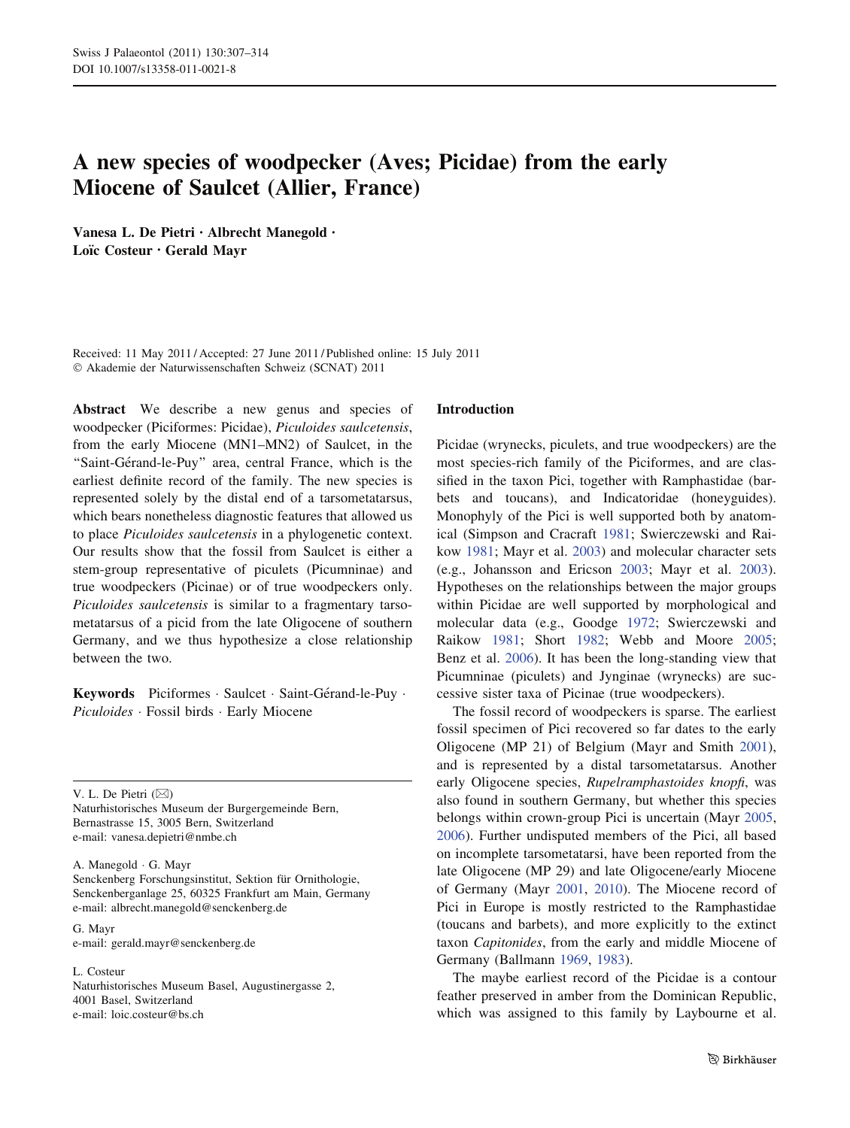# A new species of woodpecker (Aves; Picidae) from the early Miocene of Saulcet (Allier, France)

Vanesa L. De Pietri • Albrecht Manegold • Loïc Costeur · Gerald Mayr

Received: 11 May 2011 / Accepted: 27 June 2011 / Published online: 15 July 2011 - Akademie der Naturwissenschaften Schweiz (SCNAT) 2011

Abstract We describe a new genus and species of woodpecker (Piciformes: Picidae), Piculoides saulcetensis, from the early Miocene (MN1–MN2) of Saulcet, in the "Saint-Gérand-le-Puy" area, central France, which is the earliest definite record of the family. The new species is represented solely by the distal end of a tarsometatarsus, which bears nonetheless diagnostic features that allowed us to place Piculoides saulcetensis in a phylogenetic context. Our results show that the fossil from Saulcet is either a stem-group representative of piculets (Picumninae) and true woodpeckers (Picinae) or of true woodpeckers only. Piculoides saulcetensis is similar to a fragmentary tarsometatarsus of a picid from the late Oligocene of southern Germany, and we thus hypothesize a close relationship between the two.

Keywords Piciformes · Saulcet · Saint-Gérand-le-Puy · Piculoides · Fossil birds · Early Miocene

V. L. De Pietri  $(\boxtimes)$ 

Naturhistorisches Museum der Burgergemeinde Bern, Bernastrasse 15, 3005 Bern, Switzerland e-mail: vanesa.depietri@nmbe.ch

A. Manegold - G. Mayr Senckenberg Forschungsinstitut, Sektion für Ornithologie, Senckenberganlage 25, 60325 Frankfurt am Main, Germany

e-mail: albrecht.manegold@senckenberg.de G. Mayr

e-mail: gerald.mayr@senckenberg.de

L. Costeur

Naturhistorisches Museum Basel, Augustinergasse 2, 4001 Basel, Switzerland e-mail: loic.costeur@bs.ch

## Introduction

Picidae (wrynecks, piculets, and true woodpeckers) are the most species-rich family of the Piciformes, and are classified in the taxon Pici, together with Ramphastidae (barbets and toucans), and Indicatoridae (honeyguides). Monophyly of the Pici is well supported both by anatomical (Simpson and Cracraft [1981](#page-7-0); Swierczewski and Raikow [1981;](#page-7-0) Mayr et al. [2003](#page-6-0)) and molecular character sets (e.g., Johansson and Ericson [2003;](#page-6-0) Mayr et al. [2003](#page-6-0)). Hypotheses on the relationships between the major groups within Picidae are well supported by morphological and molecular data (e.g., Goodge [1972](#page-6-0); Swierczewski and Raikow [1981;](#page-7-0) Short [1982;](#page-7-0) Webb and Moore [2005](#page-7-0); Benz et al. [2006](#page-6-0)). It has been the long-standing view that Picumninae (piculets) and Jynginae (wrynecks) are successive sister taxa of Picinae (true woodpeckers).

The fossil record of woodpeckers is sparse. The earliest fossil specimen of Pici recovered so far dates to the early Oligocene (MP 21) of Belgium (Mayr and Smith [2001](#page-6-0)), and is represented by a distal tarsometatarsus. Another early Oligocene species, Rupelramphastoides knopfi, was also found in southern Germany, but whether this species belongs within crown-group Pici is uncertain (Mayr [2005,](#page-6-0) [2006](#page-6-0)). Further undisputed members of the Pici, all based on incomplete tarsometatarsi, have been reported from the late Oligocene (MP 29) and late Oligocene/early Miocene of Germany (Mayr [2001,](#page-6-0) [2010](#page-6-0)). The Miocene record of Pici in Europe is mostly restricted to the Ramphastidae (toucans and barbets), and more explicitly to the extinct taxon Capitonides, from the early and middle Miocene of Germany (Ballmann [1969](#page-6-0), [1983](#page-6-0)).

The maybe earliest record of the Picidae is a contour feather preserved in amber from the Dominican Republic, which was assigned to this family by Laybourne et al.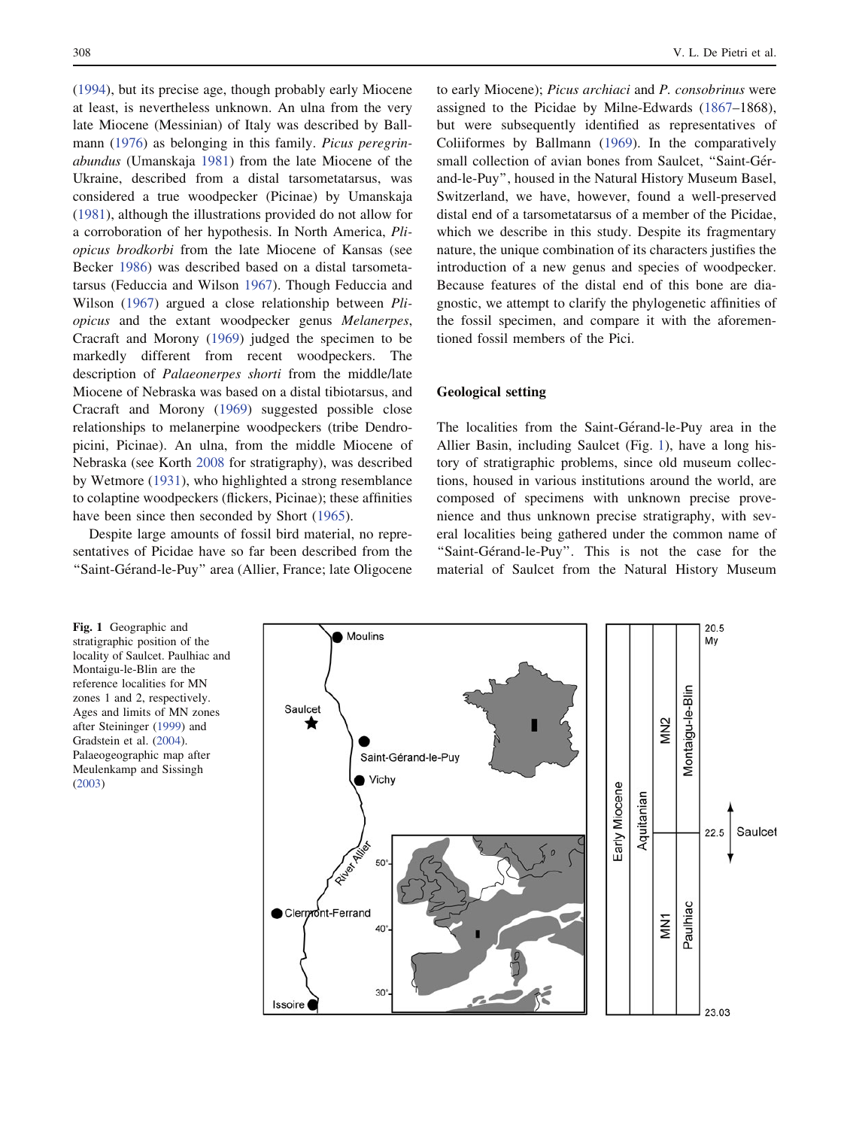<span id="page-1-0"></span>[\(1994](#page-6-0)), but its precise age, though probably early Miocene at least, is nevertheless unknown. An ulna from the very late Miocene (Messinian) of Italy was described by Ballmann [\(1976](#page-6-0)) as belonging in this family. Picus peregrinabundus (Umanskaja [1981\)](#page-7-0) from the late Miocene of the Ukraine, described from a distal tarsometatarsus, was considered a true woodpecker (Picinae) by Umanskaja [\(1981](#page-7-0)), although the illustrations provided do not allow for a corroboration of her hypothesis. In North America, Pliopicus brodkorbi from the late Miocene of Kansas (see Becker [1986](#page-6-0)) was described based on a distal tarsometatarsus (Feduccia and Wilson [1967](#page-6-0)). Though Feduccia and Wilson [\(1967](#page-6-0)) argued a close relationship between Pliopicus and the extant woodpecker genus Melanerpes, Cracraft and Morony ([1969\)](#page-6-0) judged the specimen to be markedly different from recent woodpeckers. The description of Palaeonerpes shorti from the middle/late Miocene of Nebraska was based on a distal tibiotarsus, and Cracraft and Morony [\(1969](#page-6-0)) suggested possible close relationships to melanerpine woodpeckers (tribe Dendropicini, Picinae). An ulna, from the middle Miocene of Nebraska (see Korth [2008](#page-6-0) for stratigraphy), was described by Wetmore [\(1931](#page-7-0)), who highlighted a strong resemblance to colaptine woodpeckers (flickers, Picinae); these affinities have been since then seconded by Short [\(1965](#page-7-0)).

Despite large amounts of fossil bird material, no representatives of Picidae have so far been described from the "Saint-Gérand-le-Puy" area (Allier, France; late Oligocene to early Miocene); Picus archiaci and P. consobrinus were assigned to the Picidae by Milne-Edwards ([1867](#page-7-0)–1868), but were subsequently identified as representatives of Coliiformes by Ballmann [\(1969](#page-6-0)). In the comparatively small collection of avian bones from Saulcet, "Saint-Gérand-le-Puy'', housed in the Natural History Museum Basel, Switzerland, we have, however, found a well-preserved distal end of a tarsometatarsus of a member of the Picidae, which we describe in this study. Despite its fragmentary nature, the unique combination of its characters justifies the introduction of a new genus and species of woodpecker. Because features of the distal end of this bone are diagnostic, we attempt to clarify the phylogenetic affinities of the fossil specimen, and compare it with the aforementioned fossil members of the Pici.

# Geological setting

The localities from the Saint-Gérand-le-Puy area in the Allier Basin, including Saulcet (Fig. 1), have a long history of stratigraphic problems, since old museum collections, housed in various institutions around the world, are composed of specimens with unknown precise provenience and thus unknown precise stratigraphy, with several localities being gathered under the common name of "Saint-Gérand-le-Puy". This is not the case for the material of Saulcet from the Natural History Museum

Fig. 1 Geographic and stratigraphic position of the locality of Saulcet. Paulhiac and Montaigu-le-Blin are the reference localities for MN zones 1 and 2, respectively. Ages and limits of MN zones after Steininger [\(1999\)](#page-7-0) and Gradstein et al. ([2004\)](#page-6-0). Palaeogeographic map after Meulenkamp and Sissingh ([2003\)](#page-7-0)

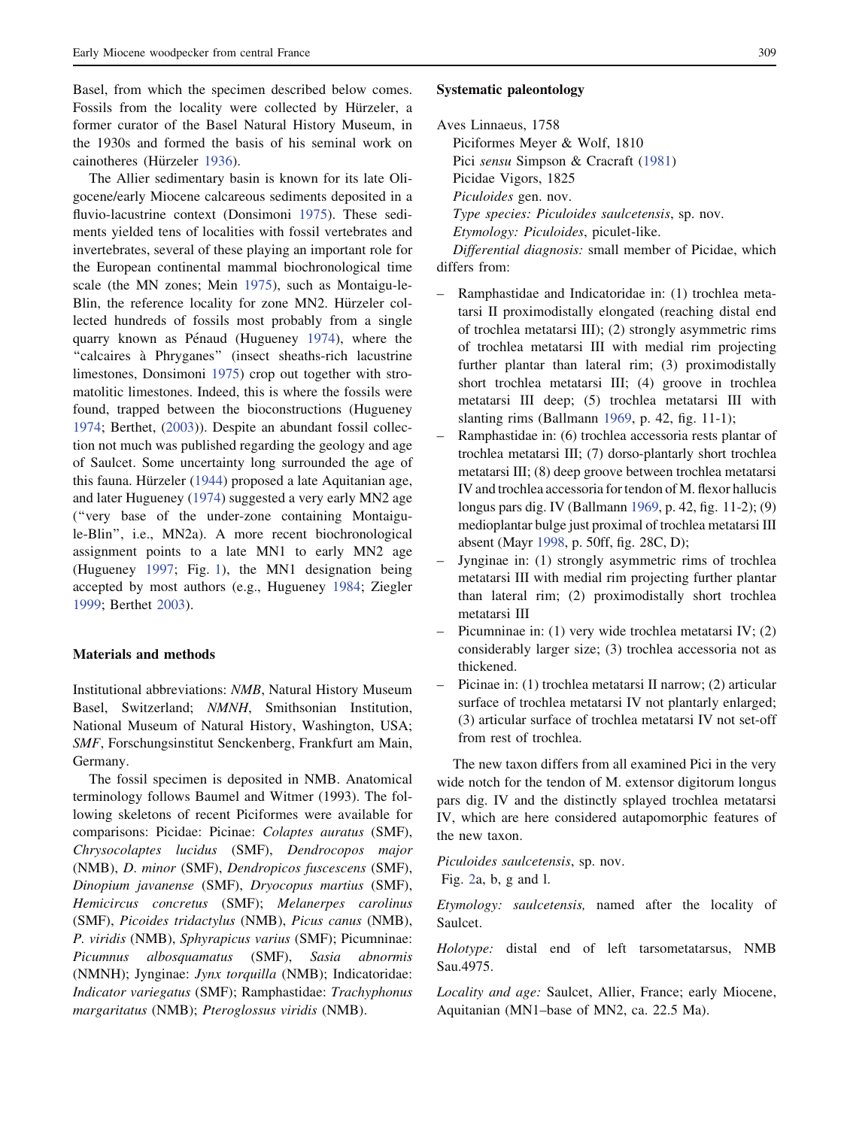Basel, from which the specimen described below comes. Fossils from the locality were collected by Hürzeler, a former curator of the Basel Natural History Museum, in the 1930s and formed the basis of his seminal work on cainotheres (Hürzeler [1936\)](#page-6-0).

The Allier sedimentary basin is known for its late Oligocene/early Miocene calcareous sediments deposited in a fluvio-lacustrine context (Donsimoni [1975](#page-6-0)). These sediments yielded tens of localities with fossil vertebrates and invertebrates, several of these playing an important role for the European continental mammal biochronological time scale (the MN zones; Mein [1975\)](#page-7-0), such as Montaigu-le-Blin, the reference locality for zone MN2. Hürzeler collected hundreds of fossils most probably from a single quarry known as Pénaud (Hugueney [1974](#page-6-0)), where the ''calcaires a` Phryganes'' (insect sheaths-rich lacustrine limestones, Donsimoni [1975](#page-6-0)) crop out together with stromatolitic limestones. Indeed, this is where the fossils were found, trapped between the bioconstructions (Hugueney [1974;](#page-6-0) Berthet, [\(2003](#page-6-0))). Despite an abundant fossil collection not much was published regarding the geology and age of Saulcet. Some uncertainty long surrounded the age of this fauna. Hürzeler  $(1944)$  $(1944)$  proposed a late Aquitanian age, and later Hugueney ([1974\)](#page-6-0) suggested a very early MN2 age (''very base of the under-zone containing Montaigule-Blin'', i.e., MN2a). A more recent biochronological assignment points to a late MN1 to early MN2 age (Hugueney [1997;](#page-6-0) Fig. [1](#page-1-0)), the MN1 designation being accepted by most authors (e.g., Hugueney [1984;](#page-6-0) Ziegler [1999;](#page-7-0) Berthet [2003\)](#page-6-0).

## Materials and methods

Institutional abbreviations: NMB, Natural History Museum Basel, Switzerland; NMNH, Smithsonian Institution, National Museum of Natural History, Washington, USA; SMF, Forschungsinstitut Senckenberg, Frankfurt am Main, Germany.

The fossil specimen is deposited in NMB. Anatomical terminology follows Baumel and Witmer (1993). The following skeletons of recent Piciformes were available for comparisons: Picidae: Picinae: Colaptes auratus (SMF), Chrysocolaptes lucidus (SMF), Dendrocopos major (NMB), D. minor (SMF), Dendropicos fuscescens (SMF), Dinopium javanense (SMF), Dryocopus martius (SMF), Hemicircus concretus (SMF); Melanerpes carolinus (SMF), Picoides tridactylus (NMB), Picus canus (NMB), P. viridis (NMB), Sphyrapicus varius (SMF); Picumninae: Picumnus albosquamatus (SMF), Sasia abnormis (NMNH); Jynginae: Jynx torquilla (NMB); Indicatoridae: Indicator variegatus (SMF); Ramphastidae: Trachyphonus margaritatus (NMB); Pteroglossus viridis (NMB).

#### Systematic paleontology

Aves Linnaeus, 1758

Piciformes Meyer & Wolf, 1810

Pici sensu Simpson & Cracraft ([1981\)](#page-7-0)

Picidae Vigors, 1825

Piculoides gen. nov.

Type species: Piculoides saulcetensis, sp. nov.

Etymology: Piculoides, piculet-like.

Differential diagnosis: small member of Picidae, which differs from:

- Ramphastidae and Indicatoridae in: (1) trochlea metatarsi II proximodistally elongated (reaching distal end of trochlea metatarsi III); (2) strongly asymmetric rims of trochlea metatarsi III with medial rim projecting further plantar than lateral rim; (3) proximodistally short trochlea metatarsi III; (4) groove in trochlea metatarsi III deep; (5) trochlea metatarsi III with slanting rims (Ballmann [1969,](#page-6-0) p. 42, fig. 11-1);
- Ramphastidae in: (6) trochlea accessoria rests plantar of trochlea metatarsi III; (7) dorso-plantarly short trochlea metatarsi III; (8) deep groove between trochlea metatarsi IV and trochlea accessoria for tendon of M. flexor hallucis longus pars dig. IV (Ballmann [1969,](#page-6-0) p. 42, fig. 11-2); (9) medioplantar bulge just proximal of trochlea metatarsi III absent (Mayr [1998,](#page-6-0) p. 50ff, fig. 28C, D);
- Jynginae in: (1) strongly asymmetric rims of trochlea metatarsi III with medial rim projecting further plantar than lateral rim; (2) proximodistally short trochlea metatarsi III
- Picumninae in: (1) very wide trochlea metatarsi IV; (2) considerably larger size; (3) trochlea accessoria not as thickened.
- Picinae in: (1) trochlea metatarsi II narrow; (2) articular surface of trochlea metatarsi IV not plantarly enlarged; (3) articular surface of trochlea metatarsi IV not set-off from rest of trochlea.

The new taxon differs from all examined Pici in the very wide notch for the tendon of M. extensor digitorum longus pars dig. IV and the distinctly splayed trochlea metatarsi IV, which are here considered autapomorphic features of the new taxon.

Piculoides saulcetensis, sp. nov. Fig. [2a](#page-3-0), b, g and l.

Etymology: saulcetensis, named after the locality of Saulcet.

Holotype: distal end of left tarsometatarsus, NMB Sau.4975.

Locality and age: Saulcet, Allier, France; early Miocene, Aquitanian (MN1–base of MN2, ca. 22.5 Ma).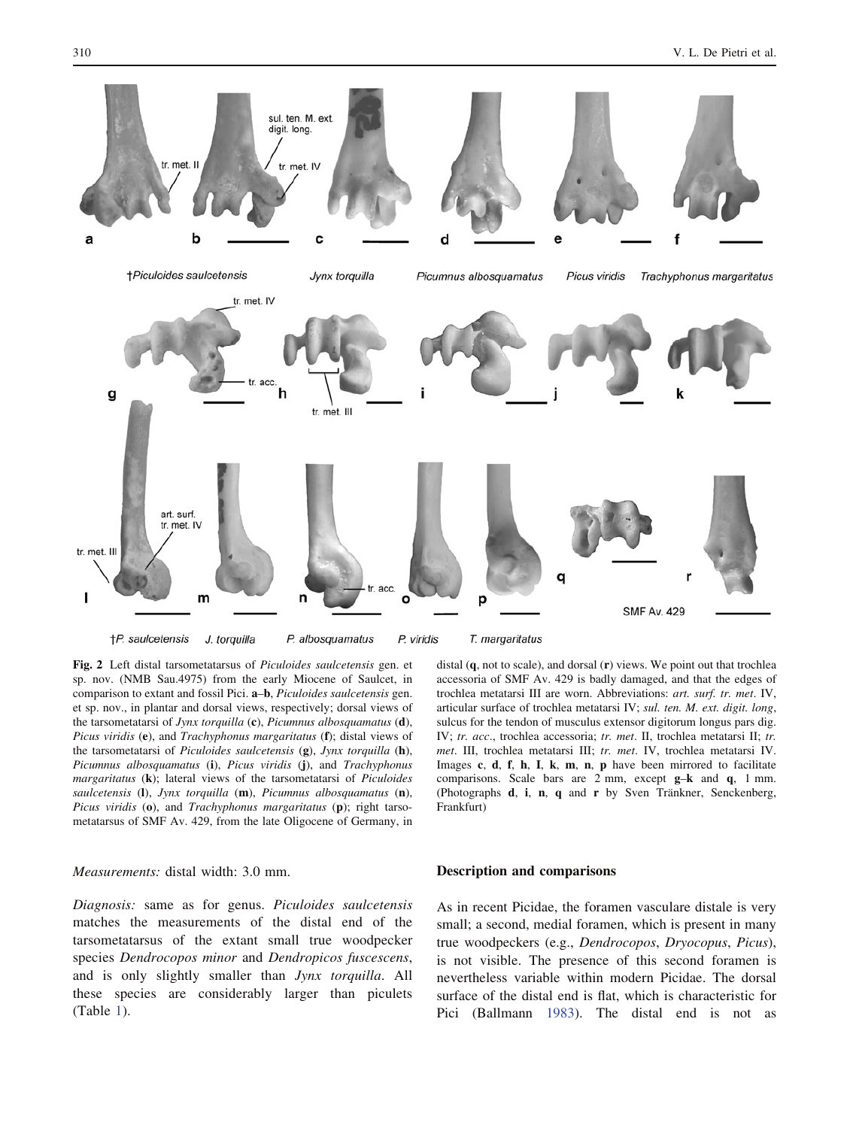<span id="page-3-0"></span>

Fig. 2 Left distal tarsometatarsus of Piculoides saulcetensis gen. et sp. nov. (NMB Sau.4975) from the early Miocene of Saulcet, in comparison to extant and fossil Pici. a–b, Piculoides saulcetensis gen. et sp. nov., in plantar and dorsal views, respectively; dorsal views of the tarsometatarsi of Jynx torquilla  $(c)$ , Picumnus albosquamatus  $(d)$ , Picus viridis (e), and Trachyphonus margaritatus (f); distal views of the tarsometatarsi of Piculoides saulcetensis (g), Jynx torquilla (h), Picumnus albosquamatus (i), Picus viridis (j), and Trachyphonus margaritatus (k); lateral views of the tarsometatarsi of Piculoides saulcetensis  $(l)$ , Jynx torquilla  $(m)$ , Picumnus albosquamatus  $(n)$ , Picus viridis (o), and Trachyphonus margaritatus (p); right tarsometatarsus of SMF Av. 429, from the late Oligocene of Germany, in

## Measurements: distal width: 3.0 mm.

Diagnosis: same as for genus. Piculoides saulcetensis matches the measurements of the distal end of the tarsometatarsus of the extant small true woodpecker species Dendrocopos minor and Dendropicos fuscescens, and is only slightly smaller than Jynx torquilla. All these species are considerably larger than piculets (Table [1\)](#page-4-0).

distal (q, not to scale), and dorsal (r) views. We point out that trochlea accessoria of SMF Av. 429 is badly damaged, and that the edges of trochlea metatarsi III are worn. Abbreviations: art. surf. tr. met. IV, articular surface of trochlea metatarsi IV; sul. ten. M. ext. digit. long, sulcus for the tendon of musculus extensor digitorum longus pars dig. IV; tr. acc., trochlea accessoria; tr. met. II, trochlea metatarsi II; tr. met. III, trochlea metatarsi III; tr. met. IV, trochlea metatarsi IV. Images c, d, f, h, I, k, m, n, p have been mirrored to facilitate comparisons. Scale bars are 2 mm, except g–k and q, 1 mm. (Photographs  $d$ , i, n, q and r by Sven Tränkner, Senckenberg, Frankfurt)

#### Description and comparisons

As in recent Picidae, the foramen vasculare distale is very small; a second, medial foramen, which is present in many true woodpeckers (e.g., Dendrocopos, Dryocopus, Picus), is not visible. The presence of this second foramen is nevertheless variable within modern Picidae. The dorsal surface of the distal end is flat, which is characteristic for Pici (Ballmann [1983\)](#page-6-0). The distal end is not as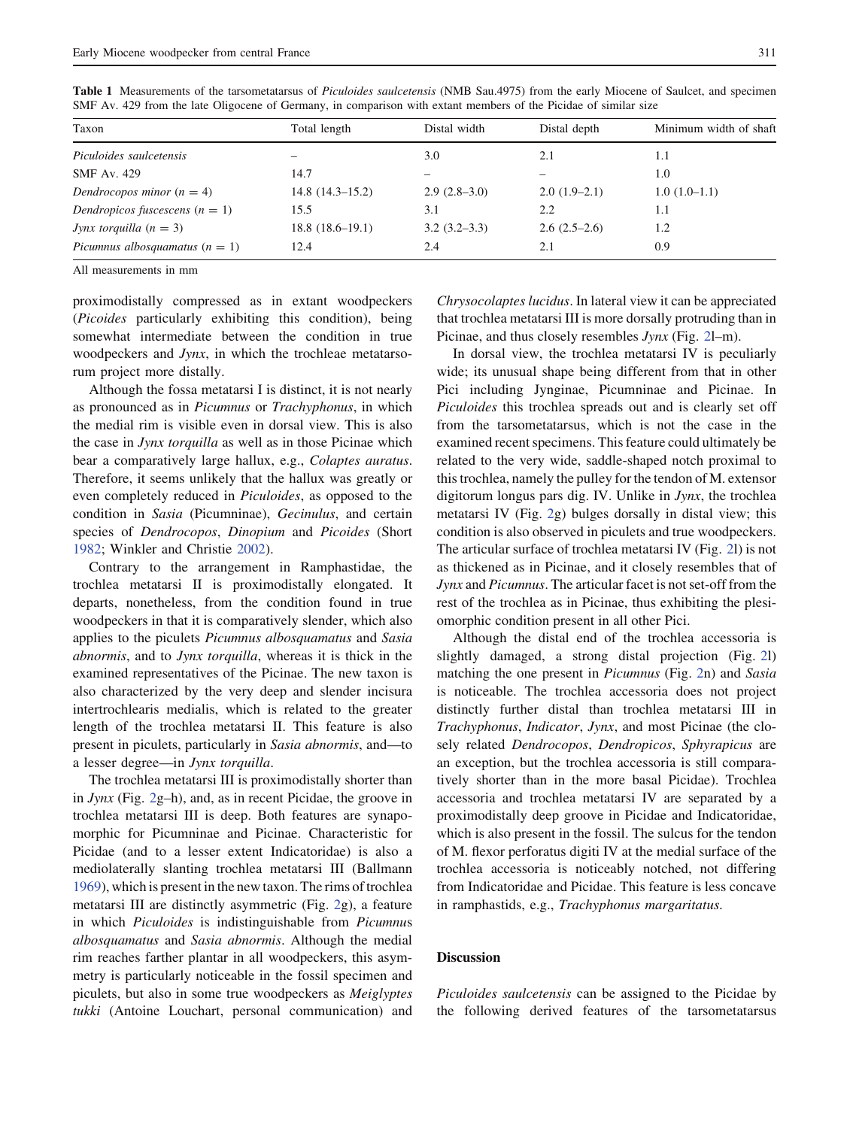<span id="page-4-0"></span>

| Table 1 Measurements of the tarsometatarsus of Piculoides saulcetensis (NMB Sau.4975) from the early Miocene of Saulcet, and specimen |  |  |
|---------------------------------------------------------------------------------------------------------------------------------------|--|--|
| SMF Av. 429 from the late Oligocene of Germany, in comparison with extant members of the Picidae of similar size                      |  |  |

| Taxon                              | Total length      | Distal width   | Distal depth   | Minimum width of shaft |
|------------------------------------|-------------------|----------------|----------------|------------------------|
| Piculoides saulcetensis            | -                 | 3.0            | 2.1            | 1.1                    |
| <b>SMF Av. 429</b>                 | 14.7              |                |                | 1.0                    |
| Dendrocopos minor $(n = 4)$        | $14.8(14.3-15.2)$ | $2.9(2.8-3.0)$ | $2.0(1.9-2.1)$ | $1.0(1.0-1.1)$         |
| Dendropicos fuscescens $(n = 1)$   | 15.5              | 3.1            | 2.2            | 1.1                    |
| <i>Jynx torquilla</i> $(n = 3)$    | $18.8(18.6-19.1)$ | $3.2(3.2-3.3)$ | $2.6(2.5-2.6)$ | 1.2                    |
| Picumnus albosquamatus ( $n = 1$ ) | 12.4              | 2.4            | 2.1            | 0.9                    |

All measurements in mm

proximodistally compressed as in extant woodpeckers (Picoides particularly exhibiting this condition), being somewhat intermediate between the condition in true woodpeckers and *Jynx*, in which the trochleae metatarsorum project more distally.

Although the fossa metatarsi I is distinct, it is not nearly as pronounced as in Picumnus or Trachyphonus, in which the medial rim is visible even in dorsal view. This is also the case in *Jynx torquilla* as well as in those Picinae which bear a comparatively large hallux, e.g., Colaptes auratus. Therefore, it seems unlikely that the hallux was greatly or even completely reduced in Piculoides, as opposed to the condition in Sasia (Picumninae), Gecinulus, and certain species of Dendrocopos, Dinopium and Picoides (Short [1982;](#page-7-0) Winkler and Christie [2002](#page-7-0)).

Contrary to the arrangement in Ramphastidae, the trochlea metatarsi II is proximodistally elongated. It departs, nonetheless, from the condition found in true woodpeckers in that it is comparatively slender, which also applies to the piculets Picumnus albosquamatus and Sasia abnormis, and to Jynx torquilla, whereas it is thick in the examined representatives of the Picinae. The new taxon is also characterized by the very deep and slender incisura intertrochlearis medialis, which is related to the greater length of the trochlea metatarsi II. This feature is also present in piculets, particularly in Sasia abnormis, and—to a lesser degree—in Jynx torquilla.

The trochlea metatarsi III is proximodistally shorter than in Jynx (Fig. [2g](#page-3-0)–h), and, as in recent Picidae, the groove in trochlea metatarsi III is deep. Both features are synapomorphic for Picumninae and Picinae. Characteristic for Picidae (and to a lesser extent Indicatoridae) is also a mediolaterally slanting trochlea metatarsi III (Ballmann [1969\)](#page-6-0), which is present in the new taxon. The rims of trochlea metatarsi III are distinctly asymmetric (Fig. [2](#page-3-0)g), a feature in which Piculoides is indistinguishable from Picumnus albosquamatus and Sasia abnormis. Although the medial rim reaches farther plantar in all woodpeckers, this asymmetry is particularly noticeable in the fossil specimen and piculets, but also in some true woodpeckers as Meiglyptes tukki (Antoine Louchart, personal communication) and

Chrysocolaptes lucidus. In lateral view it can be appreciated that trochlea metatarsi III is more dorsally protruding than in Picinae, and thus closely resembles Jynx (Fig. [2](#page-3-0)l–m).

In dorsal view, the trochlea metatarsi IV is peculiarly wide; its unusual shape being different from that in other Pici including Jynginae, Picumninae and Picinae. In Piculoides this trochlea spreads out and is clearly set off from the tarsometatarsus, which is not the case in the examined recent specimens. This feature could ultimately be related to the very wide, saddle-shaped notch proximal to this trochlea, namely the pulley for the tendon of M. extensor digitorum longus pars dig. IV. Unlike in Jynx, the trochlea metatarsi IV (Fig. [2g](#page-3-0)) bulges dorsally in distal view; this condition is also observed in piculets and true woodpeckers. The articular surface of trochlea metatarsi IV (Fig. [2](#page-3-0)l) is not as thickened as in Picinae, and it closely resembles that of Jynx and Picumnus. The articular facet is not set-off from the rest of the trochlea as in Picinae, thus exhibiting the plesiomorphic condition present in all other Pici.

Although the distal end of the trochlea accessoria is slightly damaged, a strong distal projection (Fig. [2](#page-3-0)l) matching the one present in *Picumnus* (Fig. [2](#page-3-0)n) and Sasia is noticeable. The trochlea accessoria does not project distinctly further distal than trochlea metatarsi III in Trachyphonus, Indicator, Jynx, and most Picinae (the closely related Dendrocopos, Dendropicos, Sphyrapicus are an exception, but the trochlea accessoria is still comparatively shorter than in the more basal Picidae). Trochlea accessoria and trochlea metatarsi IV are separated by a proximodistally deep groove in Picidae and Indicatoridae, which is also present in the fossil. The sulcus for the tendon of M. flexor perforatus digiti IV at the medial surface of the trochlea accessoria is noticeably notched, not differing from Indicatoridae and Picidae. This feature is less concave in ramphastids, e.g., Trachyphonus margaritatus.

## Discussion

Piculoides saulcetensis can be assigned to the Picidae by the following derived features of the tarsometatarsus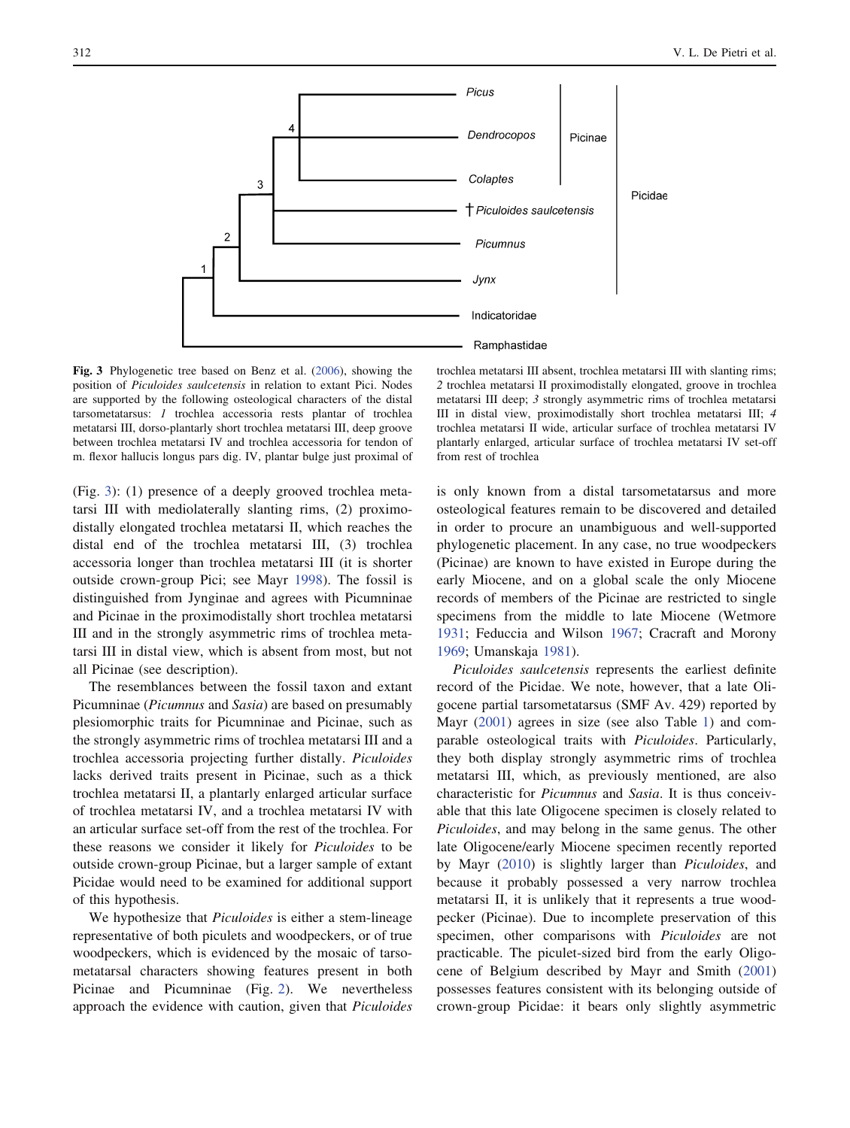

Fig. 3 Phylogenetic tree based on Benz et al. [\(2006](#page-6-0)), showing the position of Piculoides saulcetensis in relation to extant Pici. Nodes are supported by the following osteological characters of the distal tarsometatarsus: 1 trochlea accessoria rests plantar of trochlea metatarsi III, dorso-plantarly short trochlea metatarsi III, deep groove between trochlea metatarsi IV and trochlea accessoria for tendon of m. flexor hallucis longus pars dig. IV, plantar bulge just proximal of

(Fig. 3): (1) presence of a deeply grooved trochlea metatarsi III with mediolaterally slanting rims, (2) proximodistally elongated trochlea metatarsi II, which reaches the distal end of the trochlea metatarsi III, (3) trochlea accessoria longer than trochlea metatarsi III (it is shorter outside crown-group Pici; see Mayr [1998](#page-6-0)). The fossil is distinguished from Jynginae and agrees with Picumninae and Picinae in the proximodistally short trochlea metatarsi III and in the strongly asymmetric rims of trochlea metatarsi III in distal view, which is absent from most, but not all Picinae (see description).

The resemblances between the fossil taxon and extant Picumninae (Picumnus and Sasia) are based on presumably plesiomorphic traits for Picumninae and Picinae, such as the strongly asymmetric rims of trochlea metatarsi III and a trochlea accessoria projecting further distally. Piculoides lacks derived traits present in Picinae, such as a thick trochlea metatarsi II, a plantarly enlarged articular surface of trochlea metatarsi IV, and a trochlea metatarsi IV with an articular surface set-off from the rest of the trochlea. For these reasons we consider it likely for Piculoides to be outside crown-group Picinae, but a larger sample of extant Picidae would need to be examined for additional support of this hypothesis.

We hypothesize that *Piculoides* is either a stem-lineage representative of both piculets and woodpeckers, or of true woodpeckers, which is evidenced by the mosaic of tarsometatarsal characters showing features present in both Picinae and Picumninae (Fig. [2\)](#page-3-0). We nevertheless approach the evidence with caution, given that Piculoides

trochlea metatarsi III absent, trochlea metatarsi III with slanting rims; 2 trochlea metatarsi II proximodistally elongated, groove in trochlea metatarsi III deep; 3 strongly asymmetric rims of trochlea metatarsi III in distal view, proximodistally short trochlea metatarsi III; 4 trochlea metatarsi II wide, articular surface of trochlea metatarsi IV plantarly enlarged, articular surface of trochlea metatarsi IV set-off from rest of trochlea

is only known from a distal tarsometatarsus and more osteological features remain to be discovered and detailed in order to procure an unambiguous and well-supported phylogenetic placement. In any case, no true woodpeckers (Picinae) are known to have existed in Europe during the early Miocene, and on a global scale the only Miocene records of members of the Picinae are restricted to single specimens from the middle to late Miocene (Wetmore [1931](#page-7-0); Feduccia and Wilson [1967;](#page-6-0) Cracraft and Morony [1969](#page-6-0); Umanskaja [1981\)](#page-7-0).

Piculoides saulcetensis represents the earliest definite record of the Picidae. We note, however, that a late Oligocene partial tarsometatarsus (SMF Av. 429) reported by Mayr [\(2001](#page-6-0)) agrees in size (see also Table [1](#page-4-0)) and comparable osteological traits with Piculoides. Particularly, they both display strongly asymmetric rims of trochlea metatarsi III, which, as previously mentioned, are also characteristic for Picumnus and Sasia. It is thus conceivable that this late Oligocene specimen is closely related to Piculoides, and may belong in the same genus. The other late Oligocene/early Miocene specimen recently reported by Mayr ([2010\)](#page-6-0) is slightly larger than Piculoides, and because it probably possessed a very narrow trochlea metatarsi II, it is unlikely that it represents a true woodpecker (Picinae). Due to incomplete preservation of this specimen, other comparisons with Piculoides are not practicable. The piculet-sized bird from the early Oligocene of Belgium described by Mayr and Smith ([2001\)](#page-6-0) possesses features consistent with its belonging outside of crown-group Picidae: it bears only slightly asymmetric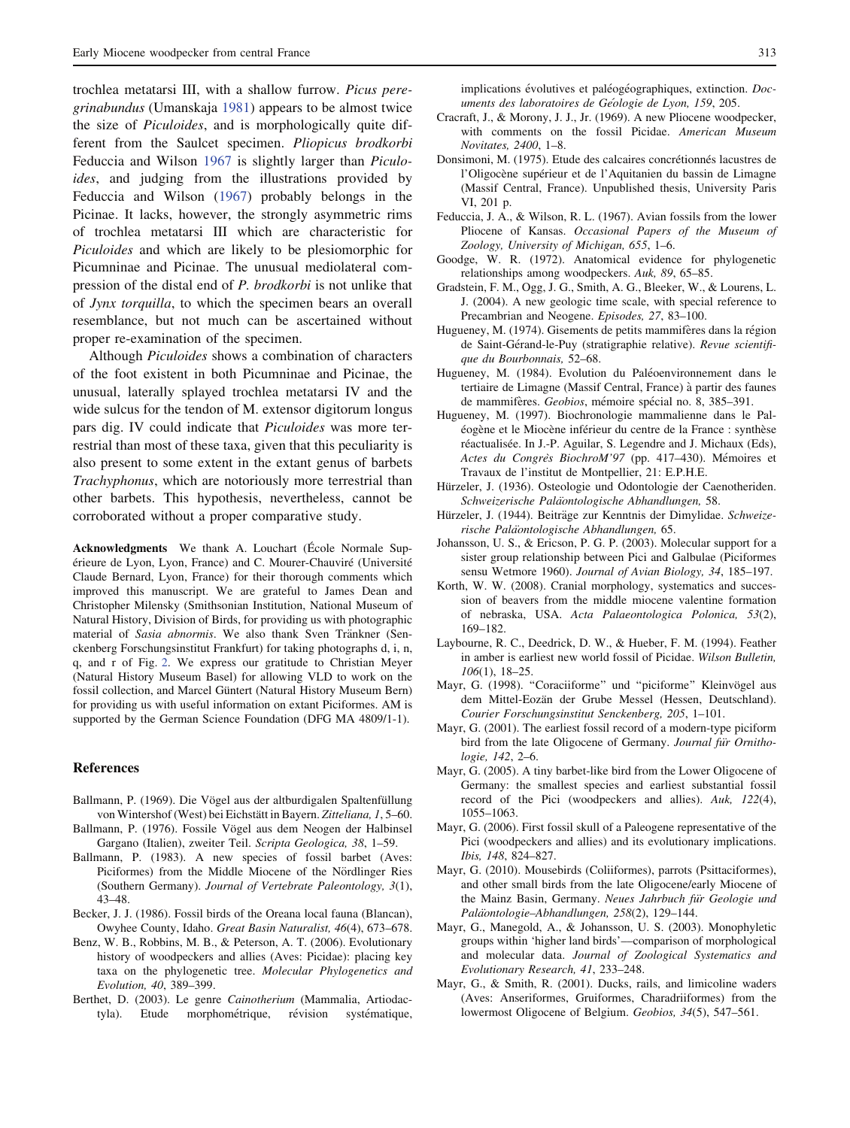<span id="page-6-0"></span>trochlea metatarsi III, with a shallow furrow. Picus peregrinabundus (Umanskaja [1981](#page-7-0)) appears to be almost twice the size of Piculoides, and is morphologically quite different from the Saulcet specimen. Pliopicus brodkorbi Feduccia and Wilson 1967 is slightly larger than Piculoides, and judging from the illustrations provided by Feduccia and Wilson (1967) probably belongs in the Picinae. It lacks, however, the strongly asymmetric rims of trochlea metatarsi III which are characteristic for Piculoides and which are likely to be plesiomorphic for Picumninae and Picinae. The unusual mediolateral compression of the distal end of P. brodkorbi is not unlike that of Jynx torquilla, to which the specimen bears an overall resemblance, but not much can be ascertained without proper re-examination of the specimen.

Although Piculoides shows a combination of characters of the foot existent in both Picumninae and Picinae, the unusual, laterally splayed trochlea metatarsi IV and the wide sulcus for the tendon of M. extensor digitorum longus pars dig. IV could indicate that Piculoides was more terrestrial than most of these taxa, given that this peculiarity is also present to some extent in the extant genus of barbets Trachyphonus, which are notoriously more terrestrial than other barbets. This hypothesis, nevertheless, cannot be corroborated without a proper comparative study.

Acknowledgments We thank A. Louchart (École Normale Supérieure de Lyon, Lyon, France) and C. Mourer-Chauviré (Université Claude Bernard, Lyon, France) for their thorough comments which improved this manuscript. We are grateful to James Dean and Christopher Milensky (Smithsonian Institution, National Museum of Natural History, Division of Birds, for providing us with photographic material of Sasia abnormis. We also thank Sven Tränkner (Senckenberg Forschungsinstitut Frankfurt) for taking photographs d, i, n, q, and r of Fig. [2.](#page-3-0) We express our gratitude to Christian Meyer (Natural History Museum Basel) for allowing VLD to work on the fossil collection, and Marcel Güntert (Natural History Museum Bern) for providing us with useful information on extant Piciformes. AM is supported by the German Science Foundation (DFG MA 4809/1-1).

#### References

- Ballmann, P. (1969). Die Vögel aus der altburdigalen Spaltenfüllung von Wintershof (West) bei Eichstätt in Bayern. Zitteliana, 1, 5–60.
- Ballmann, P. (1976). Fossile Vögel aus dem Neogen der Halbinsel Gargano (Italien), zweiter Teil. Scripta Geologica, 38, 1–59.
- Ballmann, P. (1983). A new species of fossil barbet (Aves: Piciformes) from the Middle Miocene of the Nördlinger Ries (Southern Germany). Journal of Vertebrate Paleontology, 3(1), 43–48.
- Becker, J. J. (1986). Fossil birds of the Oreana local fauna (Blancan), Owyhee County, Idaho. Great Basin Naturalist, 46(4), 673–678.
- Benz, W. B., Robbins, M. B., & Peterson, A. T. (2006). Evolutionary history of woodpeckers and allies (Aves: Picidae): placing key taxa on the phylogenetic tree. Molecular Phylogenetics and Evolution, 40, 389–399.
- Berthet, D. (2003). Le genre Cainotherium (Mammalia, Artiodactyla). Etude morphométrique, révision systématique,

implications évolutives et paléogéographiques, extinction.  $Doc$ uments des laboratoires de Géologie de Lyon, 159, 205.

- Cracraft, J., & Morony, J. J., Jr. (1969). A new Pliocene woodpecker, with comments on the fossil Picidae. American Museum Novitates, 2400, 1–8.
- Donsimoni, M. (1975). Etude des calcaires concrétionnés lacustres de l'Oligocène supérieur et de l'Aquitanien du bassin de Limagne (Massif Central, France). Unpublished thesis, University Paris VI, 201 p.
- Feduccia, J. A., & Wilson, R. L. (1967). Avian fossils from the lower Pliocene of Kansas. Occasional Papers of the Museum of Zoology, University of Michigan, 655, 1–6.
- Goodge, W. R. (1972). Anatomical evidence for phylogenetic relationships among woodpeckers. Auk, 89, 65–85.
- Gradstein, F. M., Ogg, J. G., Smith, A. G., Bleeker, W., & Lourens, L. J. (2004). A new geologic time scale, with special reference to Precambrian and Neogene. Episodes, 27, 83–100.
- Hugueney, M. (1974). Gisements de petits mammifères dans la région de Saint-Gérand-le-Puy (stratigraphie relative). Revue scientifique du Bourbonnais, 52–68.
- Hugueney, M. (1984). Evolution du Paléoenvironnement dans le tertiaire de Limagne (Massif Central, France) a` partir des faunes de mammifères. Geobios, mémoire spécial no. 8, 385-391.
- Hugueney, M. (1997). Biochronologie mammalienne dans le Paléogène et le Miocène inférieur du centre de la France : synthèse réactualisée. In J.-P. Aguilar, S. Legendre and J. Michaux (Eds), Actes du Congrès BiochroM'97 (pp. 417-430). Mémoires et Travaux de l'institut de Montpellier, 21: E.P.H.E.
- Hürzeler, J. (1936). Osteologie und Odontologie der Caenotheriden. Schweizerische Paläontologische Abhandlungen, 58.
- Hürzeler, J. (1944). Beiträge zur Kenntnis der Dimylidae. Schweizerische Paläontologische Abhandlungen, 65.
- Johansson, U. S., & Ericson, P. G. P. (2003). Molecular support for a sister group relationship between Pici and Galbulae (Piciformes sensu Wetmore 1960). Journal of Avian Biology, 34, 185–197.
- Korth, W. W. (2008). Cranial morphology, systematics and succession of beavers from the middle miocene valentine formation of nebraska, USA. Acta Palaeontologica Polonica, 53(2), 169–182.
- Laybourne, R. C., Deedrick, D. W., & Hueber, F. M. (1994). Feather in amber is earliest new world fossil of Picidae. Wilson Bulletin, 106(1), 18–25.
- Mayr, G. (1998). "Coraciiforme" und "piciforme" Kleinvögel aus dem Mittel-Eozän der Grube Messel (Hessen, Deutschland). Courier Forschungsinstitut Senckenberg, 205, 1–101.
- Mayr, G. (2001). The earliest fossil record of a modern-type piciform bird from the late Oligocene of Germany. Journal fur Ornithologie, 142, 2–6.
- Mayr, G. (2005). A tiny barbet-like bird from the Lower Oligocene of Germany: the smallest species and earliest substantial fossil record of the Pici (woodpeckers and allies). Auk, 122(4), 1055–1063.
- Mayr, G. (2006). First fossil skull of a Paleogene representative of the Pici (woodpeckers and allies) and its evolutionary implications. Ibis, 148, 824–827.
- Mayr, G. (2010). Mousebirds (Coliiformes), parrots (Psittaciformes), and other small birds from the late Oligocene/early Miocene of the Mainz Basin, Germany. Neues Jahrbuch für Geologie und Paläontologie-Abhandlungen, 258(2), 129-144.
- Mayr, G., Manegold, A., & Johansson, U. S. (2003). Monophyletic groups within 'higher land birds'––comparison of morphological and molecular data. Journal of Zoological Systematics and Evolutionary Research, 41, 233–248.
- Mayr, G., & Smith, R. (2001). Ducks, rails, and limicoline waders (Aves: Anseriformes, Gruiformes, Charadriiformes) from the lowermost Oligocene of Belgium. Geobios, 34(5), 547–561.